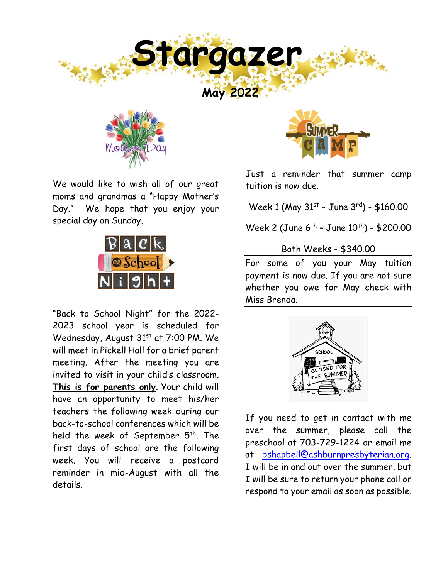



We would like to wish all of our great moms and grandmas a "Happy Mother's Day." We hope that you enjoy your special day on Sunday.



"Back to School Night" for the 2022- 2023 school year is scheduled for Wednesday, August 31<sup>st</sup> at 7:00 PM. We will meet in Pickell Hall for a brief parent meeting. After the meeting you are invited to visit in your child's classroom. **This is for parents only**. Your child will have an opportunity to meet his/her teachers the following week during our back-to-school conferences which will be held the week of September 5<sup>th</sup>. The first days of school are the following week. You will receive a postcard reminder in mid-August with all the details.



Just a reminder that summer camp tuition is now due.

Week 1 (May 31st - June 3rd) - \$160.00

Week 2 (June 6<sup>th</sup> - June 10<sup>th</sup>) - \$200.00

## Both Weeks - \$340.00

For some of you your May tuition payment is now due. If you are not sure whether you owe for May check with Miss Brenda.



If you need to get in contact with me over the summer, please call the preschool at 703-729-1224 or email me at [bshapbell@ashburnpresbyterian.org.](mailto:bshapbell@ashburnpresbyterian.org) I will be in and out over the summer, but I will be sure to return your phone call or respond to your email as soon as possible.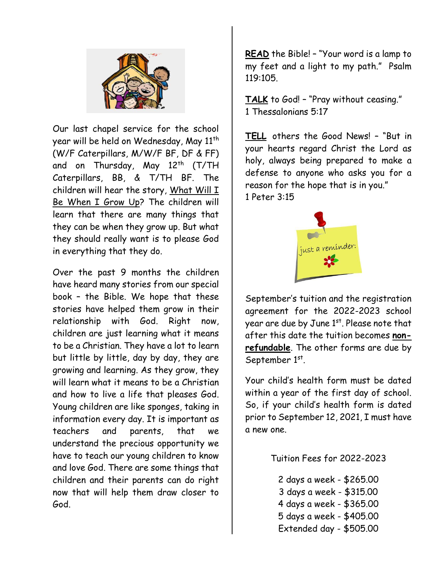

Our last chapel service for the school year will be held on Wednesday, May 11<sup>th</sup> (W/F Caterpillars, M/W/F BF, DF & FF) and on Thursday, May 12<sup>th</sup> (T/TH Caterpillars, BB, & T/TH BF. The children will hear the story, What Will  $I$ Be When I Grow Up? The children will learn that there are many things that they can be when they grow up. But what they should really want is to please God in everything that they do.

Over the past 9 months the children have heard many stories from our special book – the Bible. We hope that these stories have helped them grow in their relationship with God. Right now, children are just learning what it means to be a Christian. They have a lot to learn but little by little, day by day, they are growing and learning. As they grow, they will learn what it means to be a Christian and how to live a life that pleases God. Young children are like sponges, taking in information every day. It is important as teachers and parents, that we understand the precious opportunity we have to teach our young children to know and love God. There are some things that children and their parents can do right now that will help them draw closer to God.

**READ** the Bible! – "Your word is a lamp to my feet and a light to my path." Psalm 119:105.

**TALK** to God! – "Pray without ceasing." 1 Thessalonians 5:17

**TELL** others the Good News! – "But in your hearts regard Christ the Lord as holy, always being prepared to make a defense to anyone who asks you for a reason for the hope that is in you."

1 Peter 3:15



September's tuition and the registration agreement for the 2022-2023 school year are due by June 1st. Please note that after this date the tuition becomes **nonrefundable**. The other forms are due by September 1st.

Your child's health form must be dated within a year of the first day of school. So, if your child's health form is dated prior to September 12, 2021, I must have a new one.

Tuition Fees for 2022-2023

2 days a week - \$265.00 3 days a week - \$315.00 4 days a week - \$365.00 5 days a week - \$405.00 Extended day - \$505.00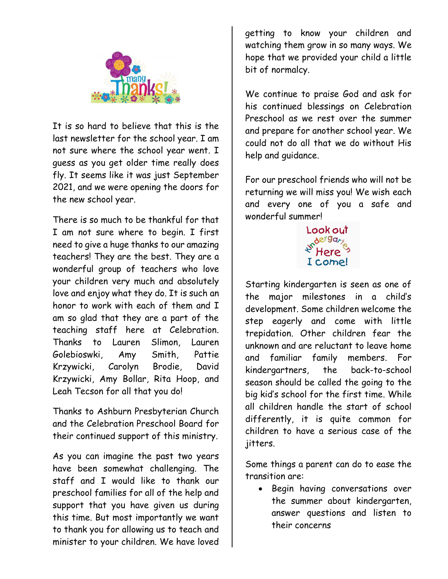

It is so hard to believe that this is the last newsletter for the school year. I am not sure where the school year went. I guess as you get older time really does fly. It seems like it was just September 2021, and we were opening the doors for the new school year.

There is so much to be thankful for that I am not sure where to begin. I first need to give a huge thanks to our amazing teachers! They are the best. They are a wonderful group of teachers who love your children very much and absolutely love and enjoy what they do. It is such an honor to work with each of them and I am so glad that they are a part of the teaching staff here at Celebration. Thanks to Lauren Slimon, Lauren Golebioswki, Amy Smith, Pattie Krzywicki, Carolyn Brodie, David Krzywicki, Amy Bollar, Rita Hoop, and Leah Tecson for all that you do!

Thanks to Ashburn Presbyterian Church and the Celebration Preschool Board for their continued support of this ministry.

As you can imagine the past two years have been somewhat challenging. The staff and I would like to thank our preschool families for all of the help and support that you have given us during this time. But most importantly we want to thank you for allowing us to teach and minister to your children. We have loved

getting to know your children and watching them grow in so many ways. We hope that we provided your child a little bit of normalcy.

We continue to praise God and ask for his continued blessings on Celebration Preschool as we rest over the summer and prepare for another school year. We could not do all that we do without His help and guidance.

For our preschool friends who will not be returning we will miss you! We wish each and every one of you a safe and wonderful summer!



Starting kindergarten is seen as one of the major milestones in a child's development. Some children welcome the step eagerly and come with little trepidation. Other children fear the unknown and are reluctant to leave home and familiar family members. For kindergartners, the back-to-school season should be called the going to the big kid's school for the first time. While all children handle the start of school differently, it is quite common for children to have a serious case of the jitters.

Some things a parent can do to ease the transition are:

• Begin having conversations over the summer about kindergarten, answer questions and listen to their concerns